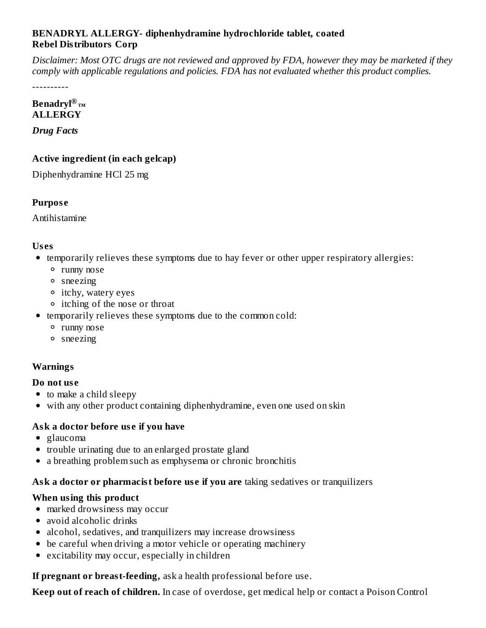#### **BENADRYL ALLERGY- diphenhydramine hydrochloride tablet, coated Rebel Distributors Corp**

Disclaimer: Most OTC drugs are not reviewed and approved by FDA, however they may be marketed if they *comply with applicable regulations and policies. FDA has not evaluated whether this product complies.*

----------

#### **Benadryl ®™ALLERGY**

*Drug Facts*

## **Active ingredient (in each gelcap)**

Diphenhydramine HCl 25 mg

## **Purpos e**

Antihistamine

### **Us es**

- temporarily relieves these symptoms due to hay fever or other upper respiratory allergies:
	- runny nose
	- sneezing
	- itchy, watery eyes
	- itching of the nose or throat
- temporarily relieves these symptoms due to the common cold:
	- runny nose
	- sneezing

## **Warnings**

### **Do not us e**

- to make a child sleepy
- with any other product containing diphenhydramine, even one used on skin

## **Ask a doctor before us e if you have**

- glaucoma
- trouble urinating due to an enlarged prostate gland
- a breathing problem such as emphysema or chronic bronchitis

### **Ask a doctor or pharmacist before us e if you are** taking sedatives or tranquilizers

### **When using this product**

- marked drowsiness may occur
- avoid alcoholic drinks
- alcohol, sedatives, and tranquilizers may increase drowsiness
- be careful when driving a motor vehicle or operating machinery
- excitability may occur, especially in children

**If pregnant or breast-feeding,** ask a health professional before use.

**Keep out of reach of children.** In case of overdose, get medical help or contact a Poison Control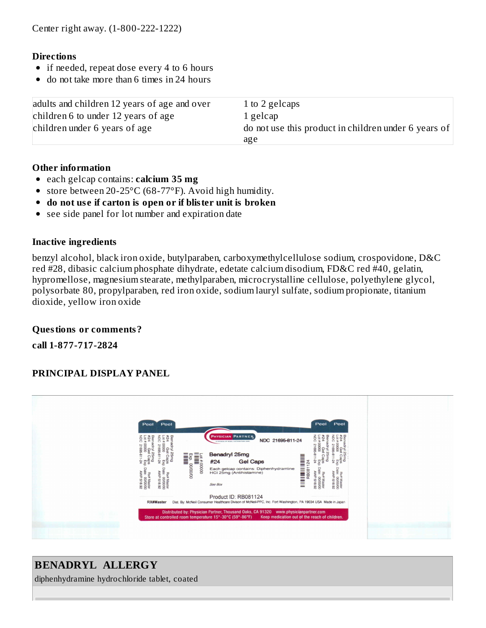#### **Directions**

- if needed, repeat dose every 4 to 6 hours
- do not take more than 6 times in 24 hours  $\bullet$

| adults and children 12 years of age and over | 1 to 2 gelcaps                                               |
|----------------------------------------------|--------------------------------------------------------------|
| children 6 to under 12 years of age          | 1 gelcap                                                     |
| children under 6 years of age                | do not use this product in children under 6 years of $\vert$ |
|                                              | age                                                          |

#### **Other information**

- each gelcap contains: **calcium 35 mg**
- store between 20-25°C (68-77°F). Avoid high humidity.
- **do not us e if carton is open or if blister unit is broken**
- $\bullet$ see side panel for lot number and expiration date

#### **Inactive ingredients**

benzyl alcohol, black iron oxide, butylparaben, carboxymethylcellulose sodium, crospovidone, D&C red #28, dibasic calcium phosphate dihydrate, edetate calcium disodium, FD&C red #40, gelatin, hypromellose, magnesium stearate, methylparaben, microcrystalline cellulose, polyethylene glycol, polysorbate 80, propylparaben, red iron oxide, sodium lauryl sulfate, sodium propionate, titanium dioxide, yellow iron oxide

#### **Questions or comments?**

**call 1-877-717-2824**

### **PRINCIPAL DISPLAY PANEL**



# **BENADRYL ALLERGY**

diphenhydramine hydrochloride tablet, coated